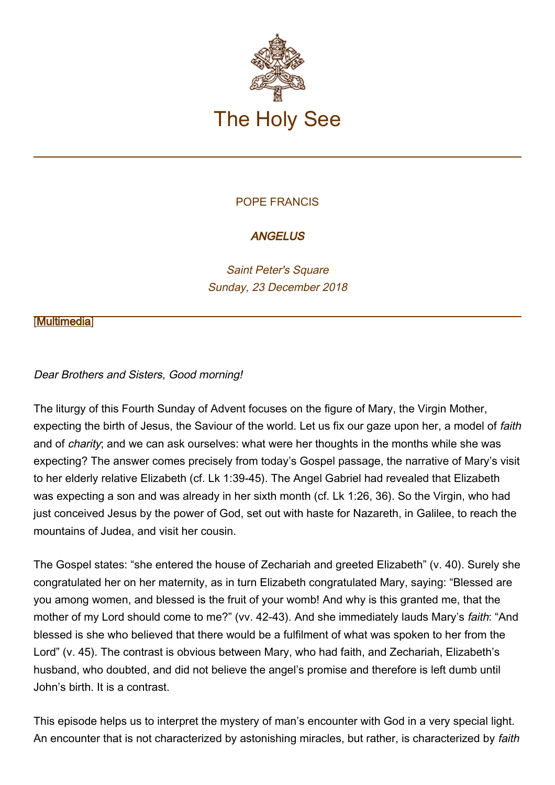

# POPE FRANCIS

# **ANGELUS**

Saint Peter's Square Sunday, 23 December 2018

### **[\[Multimedia](http://w2.vatican.va/content/francesco/en/events/event.dir.html/content/vaticanevents/en/2018/12/23/angelus.html)]**

### Dear Brothers and Sisters, Good morning!

The liturgy of this Fourth Sunday of Advent focuses on the figure of Mary, the Virgin Mother, expecting the birth of Jesus, the Saviour of the world. Let us fix our gaze upon her, a model of faith and of *charity*; and we can ask ourselves: what were her thoughts in the months while she was expecting? The answer comes precisely from today's Gospel passage, the narrative of Mary's visit to her elderly relative Elizabeth (cf. Lk 1:39-45). The Angel Gabriel had revealed that Elizabeth was expecting a son and was already in her sixth month (cf. Lk 1:26, 36). So the Virgin, who had just conceived Jesus by the power of God, set out with haste for Nazareth, in Galilee, to reach the mountains of Judea, and visit her cousin.

The Gospel states: "she entered the house of Zechariah and greeted Elizabeth" (v. 40). Surely she congratulated her on her maternity, as in turn Elizabeth congratulated Mary, saying: "Blessed are you among women, and blessed is the fruit of your womb! And why is this granted me, that the mother of my Lord should come to me?" (vv. 42-43). And she immediately lauds Mary's faith: "And blessed is she who believed that there would be a fulfilment of what was spoken to her from the Lord" (v. 45). The contrast is obvious between Mary, who had faith, and Zechariah, Elizabeth's husband, who doubted, and did not believe the angel's promise and therefore is left dumb until John's birth. It is a contrast.

This episode helps us to interpret the mystery of man's encounter with God in a very special light. An encounter that is not characterized by astonishing miracles, but rather, is characterized by faith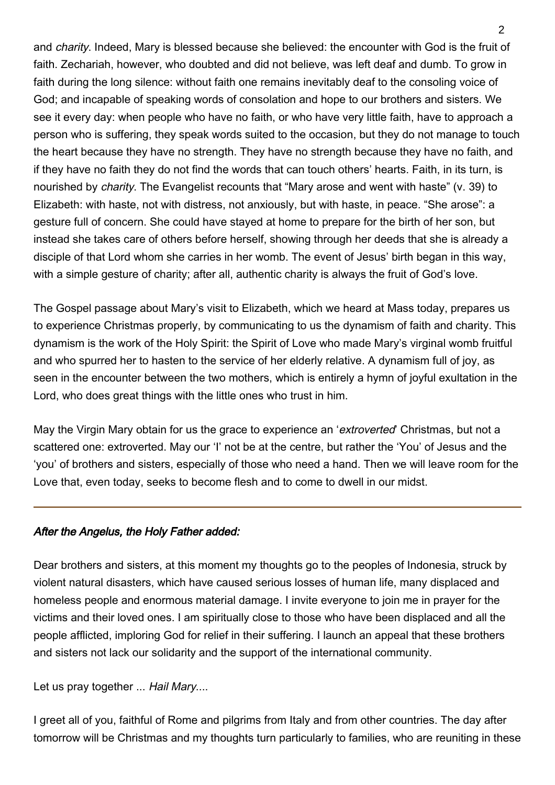and charity. Indeed, Mary is blessed because she believed: the encounter with God is the fruit of faith. Zechariah, however, who doubted and did not believe, was left deaf and dumb. To grow in faith during the long silence: without faith one remains inevitably deaf to the consoling voice of God; and incapable of speaking words of consolation and hope to our brothers and sisters. We see it every day: when people who have no faith, or who have very little faith, have to approach a person who is suffering, they speak words suited to the occasion, but they do not manage to touch the heart because they have no strength. They have no strength because they have no faith, and if they have no faith they do not find the words that can touch others' hearts. Faith, in its turn, is nourished by *charity*. The Evangelist recounts that "Mary arose and went with haste" (v. 39) to Elizabeth: with haste, not with distress, not anxiously, but with haste, in peace. "She arose": a gesture full of concern. She could have stayed at home to prepare for the birth of her son, but instead she takes care of others before herself, showing through her deeds that she is already a disciple of that Lord whom she carries in her womb. The event of Jesus' birth began in this way, with a simple gesture of charity; after all, authentic charity is always the fruit of God's love.

The Gospel passage about Mary's visit to Elizabeth, which we heard at Mass today, prepares us to experience Christmas properly, by communicating to us the dynamism of faith and charity. This dynamism is the work of the Holy Spirit: the Spirit of Love who made Mary's virginal womb fruitful and who spurred her to hasten to the service of her elderly relative. A dynamism full of joy, as seen in the encounter between the two mothers, which is entirely a hymn of joyful exultation in the Lord, who does great things with the little ones who trust in him.

May the Virgin Mary obtain for us the grace to experience an 'extroverted' Christmas, but not a scattered one: extroverted. May our 'I' not be at the centre, but rather the 'You' of Jesus and the 'you' of brothers and sisters, especially of those who need a hand. Then we will leave room for the Love that, even today, seeks to become flesh and to come to dwell in our midst.

## After the Angelus, the Holy Father added:

Dear brothers and sisters, at this moment my thoughts go to the peoples of Indonesia, struck by violent natural disasters, which have caused serious losses of human life, many displaced and homeless people and enormous material damage. I invite everyone to join me in prayer for the victims and their loved ones. I am spiritually close to those who have been displaced and all the people afflicted, imploring God for relief in their suffering. I launch an appeal that these brothers and sisters not lack our solidarity and the support of the international community.

Let us pray together ... Hail Mary....

I greet all of you, faithful of Rome and pilgrims from Italy and from other countries. The day after tomorrow will be Christmas and my thoughts turn particularly to families, who are reuniting in these